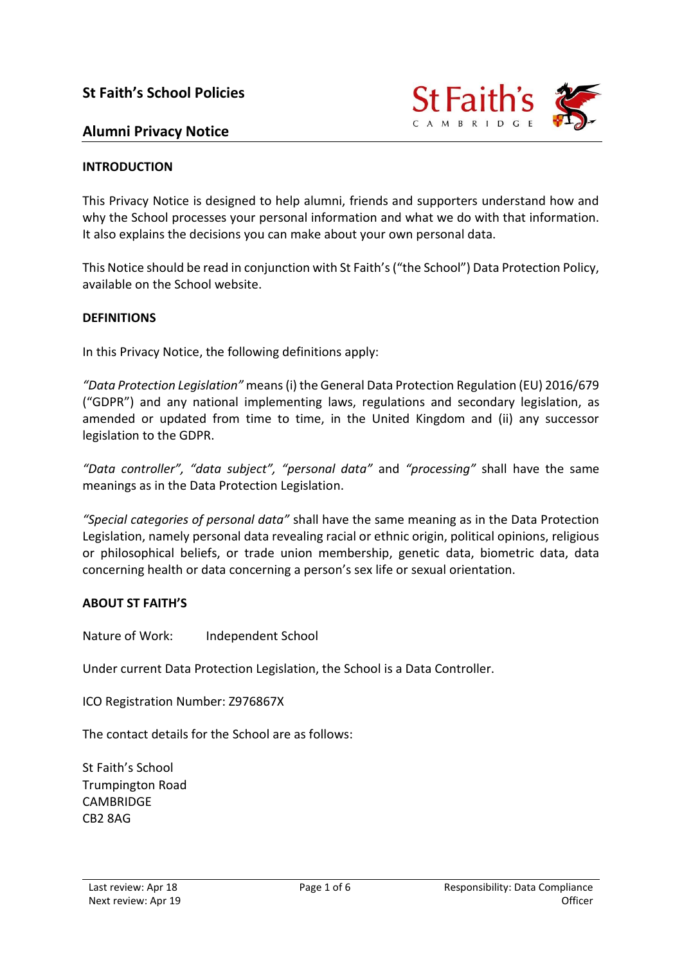

## **Alumni Privacy Notice**

#### **INTRODUCTION**

This Privacy Notice is designed to help alumni, friends and supporters understand how and why the School processes your personal information and what we do with that information. It also explains the decisions you can make about your own personal data.

This Notice should be read in conjunction with St Faith's ("the School") Data Protection Policy, available on the School website.

#### **DEFINITIONS**

In this Privacy Notice, the following definitions apply:

*"Data Protection Legislation"* means (i) the General Data Protection Regulation (EU) 2016/679 ("GDPR") and any national implementing laws, regulations and secondary legislation, as amended or updated from time to time, in the United Kingdom and (ii) any successor legislation to the GDPR.

*"Data controller", "data subject", "personal data"* and *"processing"* shall have the same meanings as in the Data Protection Legislation.

*"Special categories of personal data"* shall have the same meaning as in the Data Protection Legislation, namely personal data revealing racial or ethnic origin, political opinions, religious or philosophical beliefs, or trade union membership, genetic data, biometric data, data concerning health or data concerning a person's sex life or sexual orientation.

#### **ABOUT ST FAITH'S**

Nature of Work: Independent School

Under current Data Protection Legislation, the School is a Data Controller.

ICO Registration Number: Z976867X

The contact details for the School are as follows:

St Faith's School Trumpington Road CAMBRIDGE CB2 8AG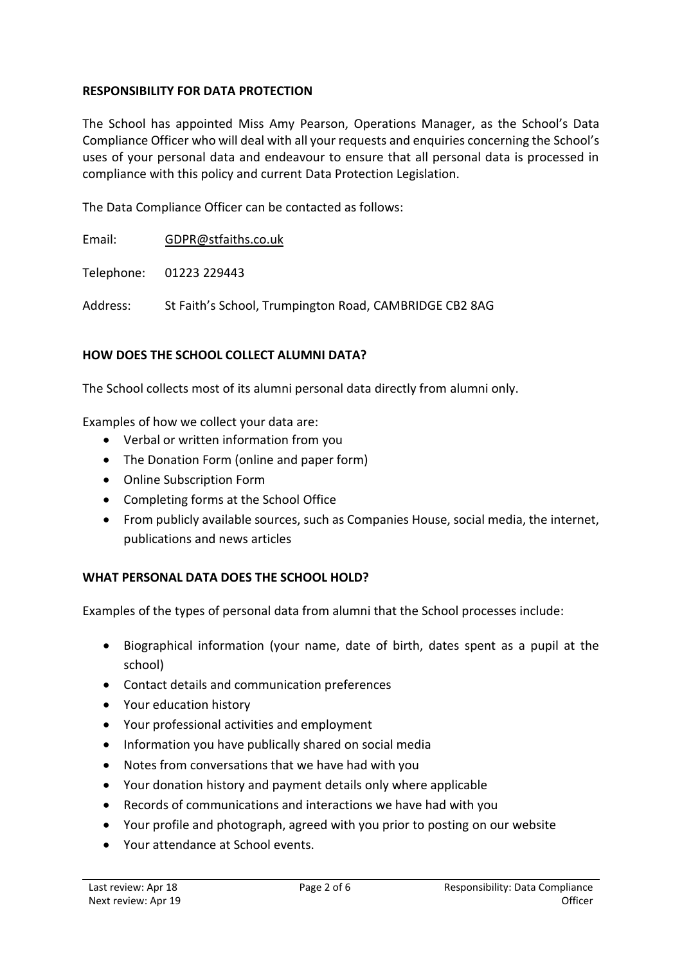### **RESPONSIBILITY FOR DATA PROTECTION**

The School has appointed Miss Amy Pearson, Operations Manager, as the School's Data Compliance Officer who will deal with all your requests and enquiries concerning the School's uses of your personal data and endeavour to ensure that all personal data is processed in compliance with this policy and current Data Protection Legislation.

The Data Compliance Officer can be contacted as follows:

Email: [GDPR@stfaiths.co.uk](mailto:GDPR@stfaiths.co.uk)

Telephone: 01223 229443

Address: St Faith's School, Trumpington Road, CAMBRIDGE CB2 8AG

#### **HOW DOES THE SCHOOL COLLECT ALUMNI DATA?**

The School collects most of its alumni personal data directly from alumni only.

Examples of how we collect your data are:

- Verbal or written information from you
- The Donation Form (online and paper form)
- Online Subscription Form
- Completing forms at the School Office
- From publicly available sources, such as Companies House, social media, the internet, publications and news articles

#### **WHAT PERSONAL DATA DOES THE SCHOOL HOLD?**

Examples of the types of personal data from alumni that the School processes include:

- Biographical information (your name, date of birth, dates spent as a pupil at the school)
- Contact details and communication preferences
- Your education history
- Your professional activities and employment
- Information you have publically shared on social media
- Notes from conversations that we have had with you
- Your donation history and payment details only where applicable
- Records of communications and interactions we have had with you
- Your profile and photograph, agreed with you prior to posting on our website
- Your attendance at School events.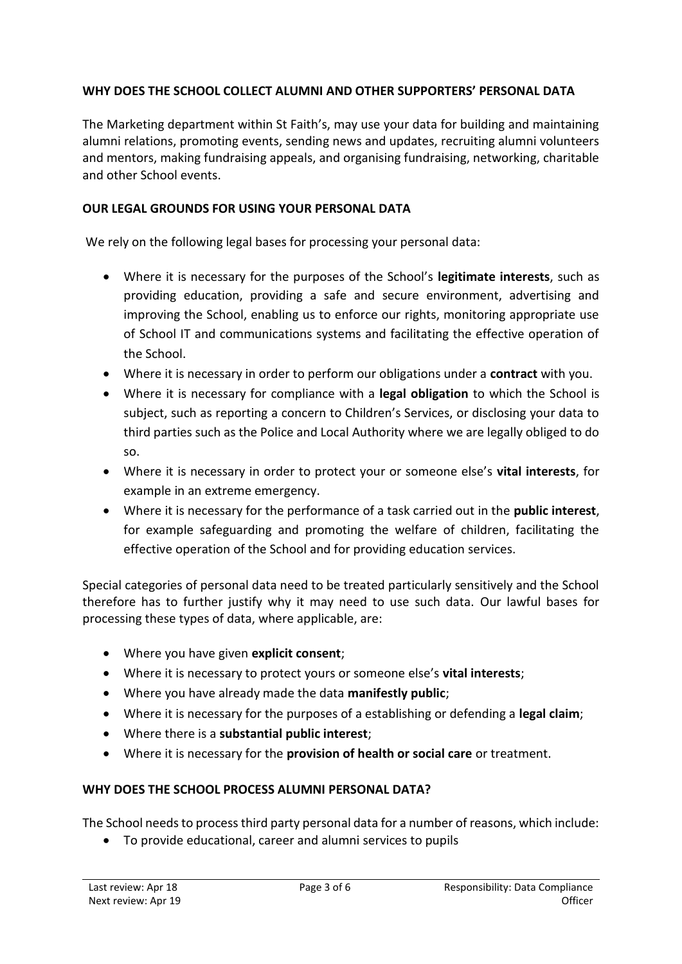## **WHY DOES THE SCHOOL COLLECT ALUMNI AND OTHER SUPPORTERS' PERSONAL DATA**

The Marketing department within St Faith's, may use your data for building and maintaining alumni relations, promoting events, sending news and updates, recruiting alumni volunteers and mentors, making fundraising appeals, and organising fundraising, networking, charitable and other School events.

### **OUR LEGAL GROUNDS FOR USING YOUR PERSONAL DATA**

We rely on the following legal bases for processing your personal data:

- Where it is necessary for the purposes of the School's **legitimate interests**, such as providing education, providing a safe and secure environment, advertising and improving the School, enabling us to enforce our rights, monitoring appropriate use of School IT and communications systems and facilitating the effective operation of the School.
- Where it is necessary in order to perform our obligations under a **contract** with you.
- Where it is necessary for compliance with a **legal obligation** to which the School is subject, such as reporting a concern to Children's Services, or disclosing your data to third parties such as the Police and Local Authority where we are legally obliged to do so.
- Where it is necessary in order to protect your or someone else's **vital interests**, for example in an extreme emergency.
- Where it is necessary for the performance of a task carried out in the **public interest**, for example safeguarding and promoting the welfare of children, facilitating the effective operation of the School and for providing education services.

Special categories of personal data need to be treated particularly sensitively and the School therefore has to further justify why it may need to use such data. Our lawful bases for processing these types of data, where applicable, are:

- Where you have given **explicit consent**;
- Where it is necessary to protect yours or someone else's **vital interests**;
- Where you have already made the data **manifestly public**;
- Where it is necessary for the purposes of a establishing or defending a **legal claim**;
- Where there is a **substantial public interest**;
- Where it is necessary for the **provision of health or social care** or treatment.

## **WHY DOES THE SCHOOL PROCESS ALUMNI PERSONAL DATA?**

The School needs to process third party personal data for a number of reasons, which include:

To provide educational, career and alumni services to pupils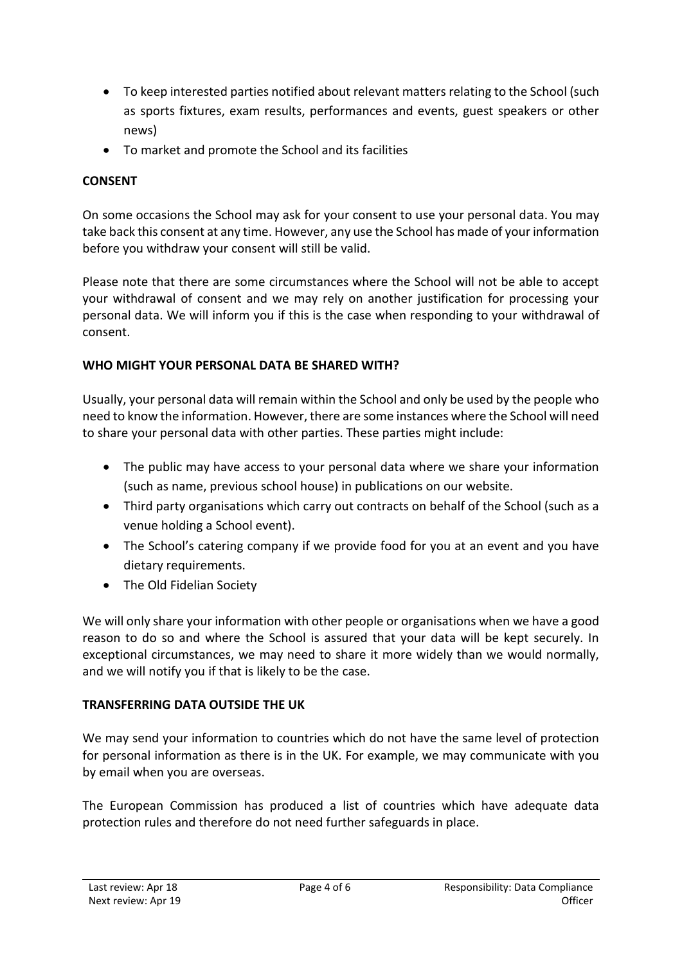- To keep interested parties notified about relevant matters relating to the School (such as sports fixtures, exam results, performances and events, guest speakers or other news)
- To market and promote the School and its facilities

## **CONSENT**

On some occasions the School may ask for your consent to use your personal data. You may take back this consent at any time. However, any use the School has made of your information before you withdraw your consent will still be valid.

Please note that there are some circumstances where the School will not be able to accept your withdrawal of consent and we may rely on another justification for processing your personal data. We will inform you if this is the case when responding to your withdrawal of consent.

## **WHO MIGHT YOUR PERSONAL DATA BE SHARED WITH?**

Usually, your personal data will remain within the School and only be used by the people who need to know the information. However, there are some instances where the School will need to share your personal data with other parties. These parties might include:

- The public may have access to your personal data where we share your information (such as name, previous school house) in publications on our website.
- Third party organisations which carry out contracts on behalf of the School (such as a venue holding a School event).
- The School's catering company if we provide food for you at an event and you have dietary requirements.
- The Old Fidelian Society

We will only share your information with other people or organisations when we have a good reason to do so and where the School is assured that your data will be kept securely. In exceptional circumstances, we may need to share it more widely than we would normally, and we will notify you if that is likely to be the case.

## **TRANSFERRING DATA OUTSIDE THE UK**

We may send your information to countries which do not have the same level of protection for personal information as there is in the UK. For example, we may communicate with you by email when you are overseas.

The European Commission has produced a list of countries which have adequate data protection rules and therefore do not need further safeguards in place.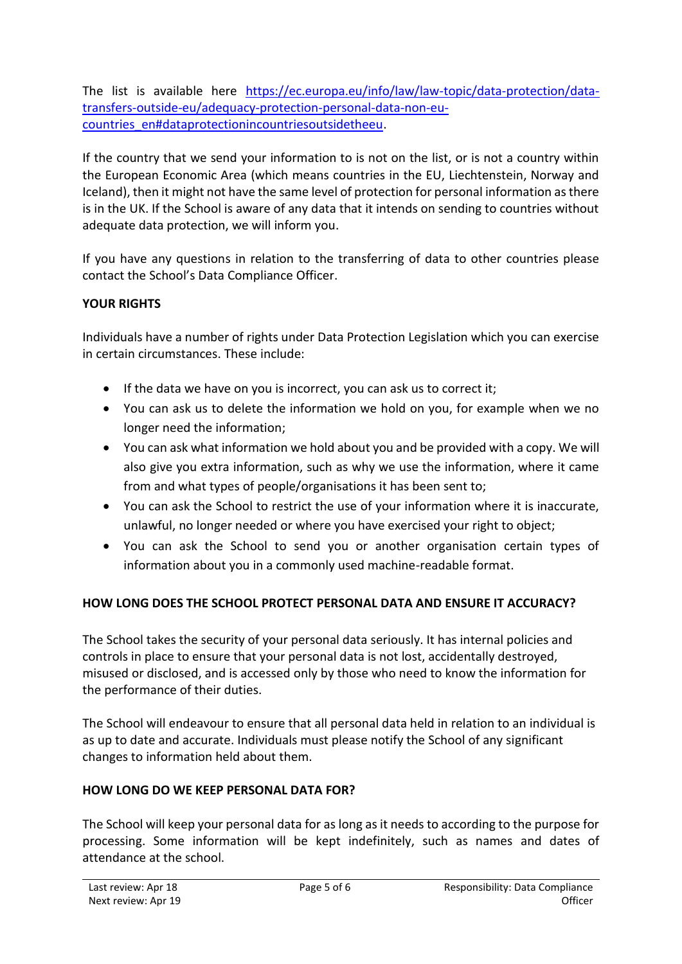The list is available here [https://ec.europa.eu/info/law/law-topic/data-protection/data](https://ec.europa.eu/info/law/law-topic/data-protection/data-transfers-outside-eu/adequacy-protection-personal-data-non-eu-countries_en#dataprotectionincountriesoutsidetheeu)[transfers-outside-eu/adequacy-protection-personal-data-non-eu](https://ec.europa.eu/info/law/law-topic/data-protection/data-transfers-outside-eu/adequacy-protection-personal-data-non-eu-countries_en#dataprotectionincountriesoutsidetheeu)[countries\\_en#dataprotectionincountriesoutsidetheeu.](https://ec.europa.eu/info/law/law-topic/data-protection/data-transfers-outside-eu/adequacy-protection-personal-data-non-eu-countries_en#dataprotectionincountriesoutsidetheeu)

If the country that we send your information to is not on the list, or is not a country within the European Economic Area (which means countries in the EU, Liechtenstein, Norway and Iceland), then it might not have the same level of protection for personal information as there is in the UK. If the School is aware of any data that it intends on sending to countries without adequate data protection, we will inform you.

If you have any questions in relation to the transferring of data to other countries please contact the School's Data Compliance Officer.

# **YOUR RIGHTS**

Individuals have a number of rights under Data Protection Legislation which you can exercise in certain circumstances. These include:

- $\bullet$  If the data we have on you is incorrect, you can ask us to correct it;
- You can ask us to delete the information we hold on you, for example when we no longer need the information;
- You can ask what information we hold about you and be provided with a copy. We will also give you extra information, such as why we use the information, where it came from and what types of people/organisations it has been sent to;
- You can ask the School to restrict the use of your information where it is inaccurate, unlawful, no longer needed or where you have exercised your right to object;
- You can ask the School to send you or another organisation certain types of information about you in a commonly used machine-readable format.

# **HOW LONG DOES THE SCHOOL PROTECT PERSONAL DATA AND ENSURE IT ACCURACY?**

The School takes the security of your personal data seriously. It has internal policies and controls in place to ensure that your personal data is not lost, accidentally destroyed, misused or disclosed, and is accessed only by those who need to know the information for the performance of their duties.

The School will endeavour to ensure that all personal data held in relation to an individual is as up to date and accurate. Individuals must please notify the School of any significant changes to information held about them.

## **HOW LONG DO WE KEEP PERSONAL DATA FOR?**

The School will keep your personal data for as long as it needs to according to the purpose for processing. Some information will be kept indefinitely, such as names and dates of attendance at the school.